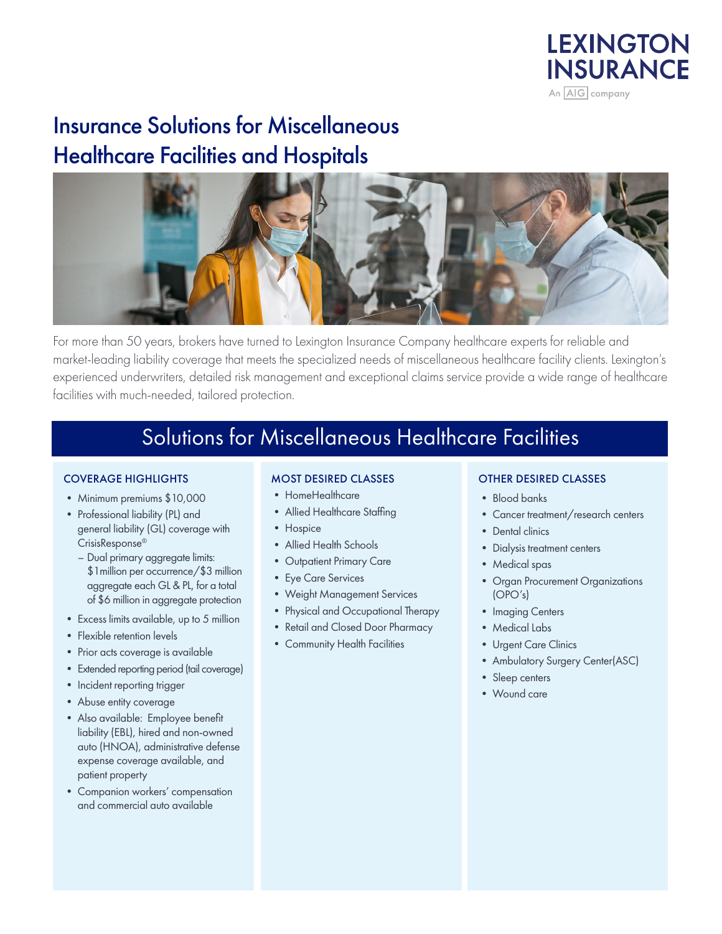

## Insurance Solutions for Miscellaneous Healthcare Facilities and Hospitals



For more than 50 years, brokers have turned to Lexington Insurance Company healthcare experts for reliable and market-leading liability coverage that meets the specialized needs of miscellaneous healthcare facility clients. Lexington's experienced underwriters, detailed risk management and exceptional claims service provide a wide range of healthcare facilities with much-needed, tailored protection.

## Solutions for Miscellaneous Healthcare Facilities

#### COVERAGE HIGHLIGHTS

- Minimum premiums \$10,000
- Professional liability (PL) and general liability (GL) coverage with CrisisResponse®
	- Dual primary aggregate limits: \$1million per occurrence/\$3 million aggregate each GL & PL, for a total of \$6 million in aggregate protection
- Excess limits available, up to 5 million
- Flexible retention levels
- Prior acts coverage is available
- Extended reporting period (tail coverage)
- Incident reporting trigger
- Abuse entity coverage
- Also available: Employee benefit liability (EBL), hired and non-owned auto (HNOA), administrative defense expense coverage available, and patient property
- Companion workers' compensation and commercial auto available

#### MOST DESIRED CLASSES

- HomeHealthcare
- Allied Healthcare Staffing
- Hospice
- Allied Health Schools
- Outpatient Primary Care
- Eye Care Services
- Weight Management Services
- Physical and Occupational Therapy
- Retail and Closed Door Pharmacy
- Community Health Facilities

#### OTHER DESIRED CLASSES

- Blood banks
- Cancer treatment/research centers
- Dental clinics
- Dialysis treatment centers
- Medical spas
- Organ Procurement Organizations (OPO's)
- Imaging Centers
- Medical Labs
- Urgent Care Clinics
- Ambulatory Surgery Center(ASC)
- Sleep centers
- Wound care